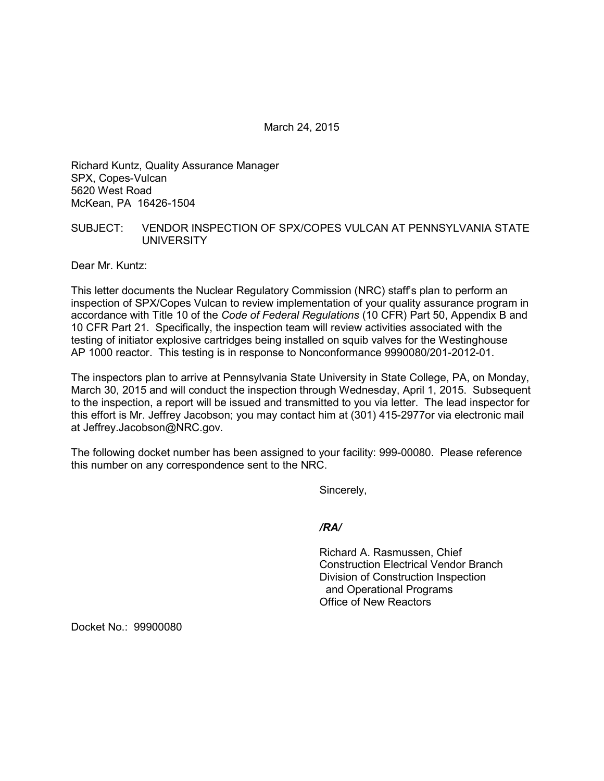March 24, 2015

Richard Kuntz, Quality Assurance Manager SPX, Copes-Vulcan 5620 West Road McKean, PA 16426-1504

## SUBJECT: VENDOR INSPECTION OF SPX/COPES VULCAN AT PENNSYLVANIA STATE UNIVERSITY

Dear Mr. Kuntz:

This letter documents the Nuclear Regulatory Commission (NRC) staff's plan to perform an inspection of SPX/Copes Vulcan to review implementation of your quality assurance program in accordance with Title 10 of the *Code of Federal Regulations* (10 CFR) Part 50, Appendix B and 10 CFR Part 21. Specifically, the inspection team will review activities associated with the testing of initiator explosive cartridges being installed on squib valves for the Westinghouse AP 1000 reactor. This testing is in response to Nonconformance 9990080/201-2012-01.

The inspectors plan to arrive at Pennsylvania State University in State College, PA, on Monday, March 30, 2015 and will conduct the inspection through Wednesday, April 1, 2015. Subsequent to the inspection, a report will be issued and transmitted to you via letter. The lead inspector for this effort is Mr. Jeffrey Jacobson; you may contact him at (301) 415-2977or via electronic mail at Jeffrey.Jacobson@NRC.gov.

The following docket number has been assigned to your facility: 999-00080. Please reference this number on any correspondence sent to the NRC.

Sincerely,

## */RA/*

Richard A. Rasmussen, Chief Construction Electrical Vendor Branch Division of Construction Inspection and Operational Programs Office of New Reactors

Docket No.: 99900080